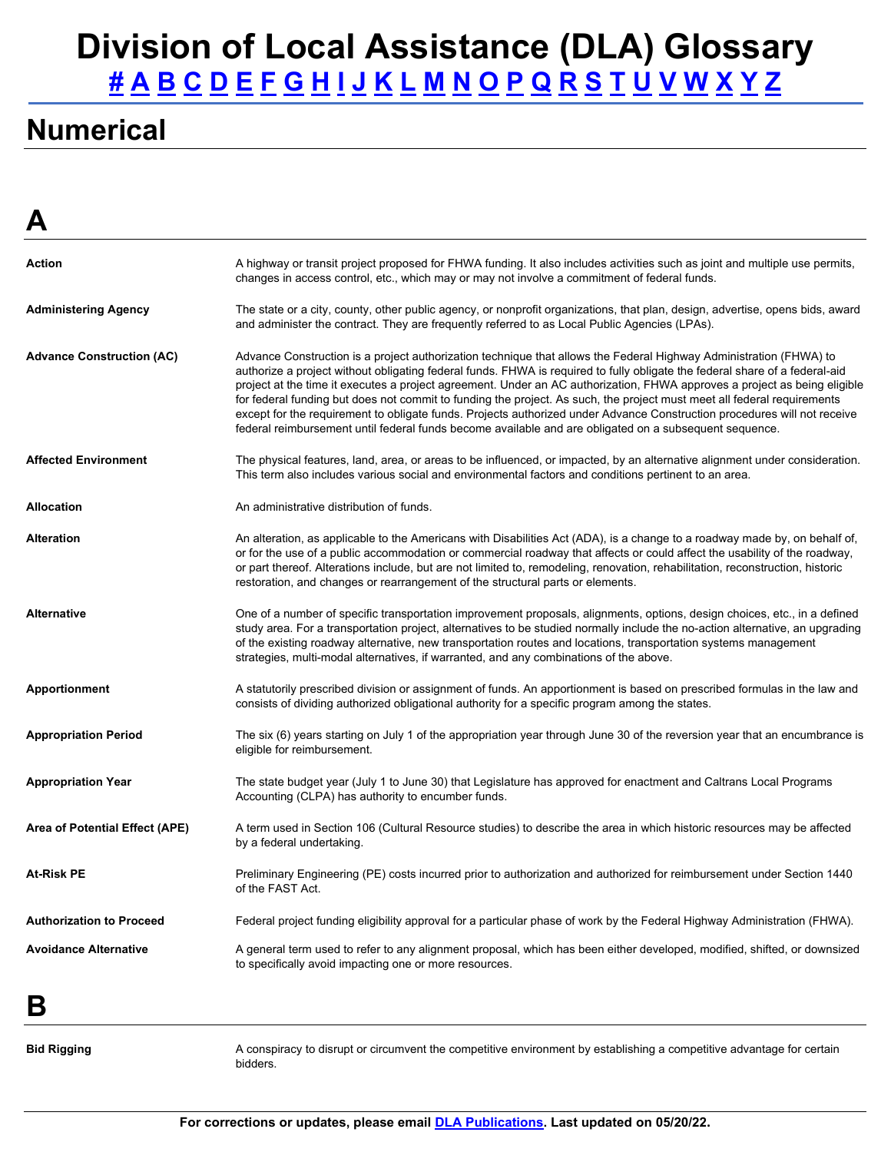### <span id="page-0-0"></span>**Numerical**

<span id="page-0-1"></span>**A** 

| m                                |                                                                                                                                                                                                                                                                                                                                                                                                                                                                                                                                                                                                                                                                                                                                                 |
|----------------------------------|-------------------------------------------------------------------------------------------------------------------------------------------------------------------------------------------------------------------------------------------------------------------------------------------------------------------------------------------------------------------------------------------------------------------------------------------------------------------------------------------------------------------------------------------------------------------------------------------------------------------------------------------------------------------------------------------------------------------------------------------------|
| Action                           | A highway or transit project proposed for FHWA funding. It also includes activities such as joint and multiple use permits,<br>changes in access control, etc., which may or may not involve a commitment of federal funds.                                                                                                                                                                                                                                                                                                                                                                                                                                                                                                                     |
| <b>Administering Agency</b>      | The state or a city, county, other public agency, or nonprofit organizations, that plan, design, advertise, opens bids, award<br>and administer the contract. They are frequently referred to as Local Public Agencies (LPAs).                                                                                                                                                                                                                                                                                                                                                                                                                                                                                                                  |
| <b>Advance Construction (AC)</b> | Advance Construction is a project authorization technique that allows the Federal Highway Administration (FHWA) to<br>authorize a project without obligating federal funds. FHWA is required to fully obligate the federal share of a federal-aid<br>project at the time it executes a project agreement. Under an AC authorization, FHWA approves a project as being eligible<br>for federal funding but does not commit to funding the project. As such, the project must meet all federal requirements<br>except for the requirement to obligate funds. Projects authorized under Advance Construction procedures will not receive<br>federal reimbursement until federal funds become available and are obligated on a subsequent sequence. |
| <b>Affected Environment</b>      | The physical features, land, area, or areas to be influenced, or impacted, by an alternative alignment under consideration.<br>This term also includes various social and environmental factors and conditions pertinent to an area.                                                                                                                                                                                                                                                                                                                                                                                                                                                                                                            |
| <b>Allocation</b>                | An administrative distribution of funds.                                                                                                                                                                                                                                                                                                                                                                                                                                                                                                                                                                                                                                                                                                        |
| <b>Alteration</b>                | An alteration, as applicable to the Americans with Disabilities Act (ADA), is a change to a roadway made by, on behalf of,<br>or for the use of a public accommodation or commercial roadway that affects or could affect the usability of the roadway,<br>or part thereof. Alterations include, but are not limited to, remodeling, renovation, rehabilitation, reconstruction, historic<br>restoration, and changes or rearrangement of the structural parts or elements.                                                                                                                                                                                                                                                                     |
| <b>Alternative</b>               | One of a number of specific transportation improvement proposals, alignments, options, design choices, etc., in a defined<br>study area. For a transportation project, alternatives to be studied normally include the no-action alternative, an upgrading<br>of the existing roadway alternative, new transportation routes and locations, transportation systems management<br>strategies, multi-modal alternatives, if warranted, and any combinations of the above.                                                                                                                                                                                                                                                                         |
| Apportionment                    | A statutorily prescribed division or assignment of funds. An apportionment is based on prescribed formulas in the law and<br>consists of dividing authorized obligational authority for a specific program among the states.                                                                                                                                                                                                                                                                                                                                                                                                                                                                                                                    |
| <b>Appropriation Period</b>      | The six (6) years starting on July 1 of the appropriation year through June 30 of the reversion year that an encumbrance is<br>eligible for reimbursement.                                                                                                                                                                                                                                                                                                                                                                                                                                                                                                                                                                                      |
| <b>Appropriation Year</b>        | The state budget year (July 1 to June 30) that Legislature has approved for enactment and Caltrans Local Programs<br>Accounting (CLPA) has authority to encumber funds.                                                                                                                                                                                                                                                                                                                                                                                                                                                                                                                                                                         |
| Area of Potential Effect (APE)   | A term used in Section 106 (Cultural Resource studies) to describe the area in which historic resources may be affected<br>by a federal undertaking.                                                                                                                                                                                                                                                                                                                                                                                                                                                                                                                                                                                            |
| <b>At-Risk PE</b>                | Preliminary Engineering (PE) costs incurred prior to authorization and authorized for reimbursement under Section 1440<br>of the FAST Act.                                                                                                                                                                                                                                                                                                                                                                                                                                                                                                                                                                                                      |
| <b>Authorization to Proceed</b>  | Federal project funding eligibility approval for a particular phase of work by the Federal Highway Administration (FHWA).                                                                                                                                                                                                                                                                                                                                                                                                                                                                                                                                                                                                                       |
| <b>Avoidance Alternative</b>     | A general term used to refer to any alignment proposal, which has been either developed, modified, shifted, or downsized<br>to specifically avoid impacting one or more resources.                                                                                                                                                                                                                                                                                                                                                                                                                                                                                                                                                              |
|                                  |                                                                                                                                                                                                                                                                                                                                                                                                                                                                                                                                                                                                                                                                                                                                                 |

<span id="page-0-2"></span>**B** 

**Bid Rigging A** conspiracy to disrupt or circumvent the competitive environment by establishing a competitive advantage for certain bidders.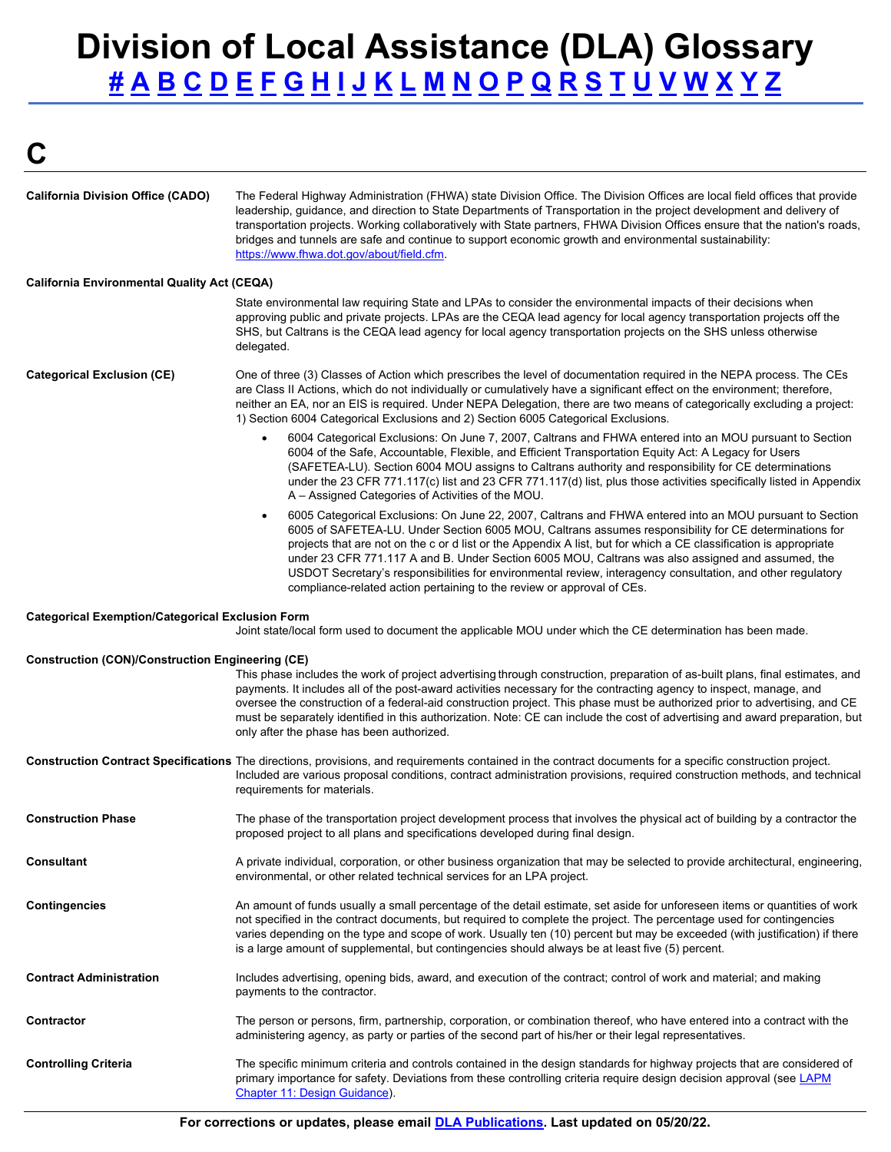# **Division of Local Assistance (DLA) Glossary**<br>
<u>#ABCDEFGHIJKLMNOPQRSTUVWXYZ</u><br>C [#](#page-0-0) [A](#page-0-1) [B](#page-0-2) [C](#page-1-0) [D](#page-2-0) [E](#page-2-1) [F](#page-2-2) [G](#page-4-0) [H](#page-4-1) [I](#page-4-2) [J](#page-4-3) [K](#page-4-4) [L](#page-4-5) [M](#page-5-0) [N](#page-5-1) [O](#page-6-0) [P](#page-6-1) [Q](#page-7-0) [R](#page-7-1) [S](#page-7-2) [T](#page-8-0) [U](#page-8-1) [V](#page-9-0) [W](#page-9-1) [X](#page-9-2) [Y](#page-9-3) Z

<span id="page-1-0"></span>

| <b>California Division Office (CADO)</b>                | The Federal Highway Administration (FHWA) state Division Office. The Division Offices are local field offices that provide<br>leadership, guidance, and direction to State Departments of Transportation in the project development and delivery of<br>transportation projects. Working collaboratively with State partners, FHWA Division Offices ensure that the nation's roads,<br>bridges and tunnels are safe and continue to support economic growth and environmental sustainability:<br>https://www.fhwa.dot.gov/about/field.cfm.                                                                                                         |
|---------------------------------------------------------|---------------------------------------------------------------------------------------------------------------------------------------------------------------------------------------------------------------------------------------------------------------------------------------------------------------------------------------------------------------------------------------------------------------------------------------------------------------------------------------------------------------------------------------------------------------------------------------------------------------------------------------------------|
| <b>California Environmental Quality Act (CEQA)</b>      |                                                                                                                                                                                                                                                                                                                                                                                                                                                                                                                                                                                                                                                   |
|                                                         | State environmental law requiring State and LPAs to consider the environmental impacts of their decisions when<br>approving public and private projects. LPAs are the CEQA lead agency for local agency transportation projects off the<br>SHS, but Caltrans is the CEQA lead agency for local agency transportation projects on the SHS unless otherwise<br>delegated.                                                                                                                                                                                                                                                                           |
| <b>Categorical Exclusion (CE)</b>                       | One of three (3) Classes of Action which prescribes the level of documentation required in the NEPA process. The CEs<br>are Class II Actions, which do not individually or cumulatively have a significant effect on the environment; therefore,<br>neither an EA, nor an EIS is required. Under NEPA Delegation, there are two means of categorically excluding a project:<br>1) Section 6004 Categorical Exclusions and 2) Section 6005 Categorical Exclusions.                                                                                                                                                                                 |
|                                                         | 6004 Categorical Exclusions: On June 7, 2007, Caltrans and FHWA entered into an MOU pursuant to Section<br>$\bullet$<br>6004 of the Safe, Accountable, Flexible, and Efficient Transportation Equity Act: A Legacy for Users<br>(SAFETEA-LU). Section 6004 MOU assigns to Caltrans authority and responsibility for CE determinations<br>under the 23 CFR 771.117(c) list and 23 CFR 771.117(d) list, plus those activities specifically listed in Appendix<br>A – Assigned Categories of Activities of the MOU.                                                                                                                                  |
|                                                         | 6005 Categorical Exclusions: On June 22, 2007, Caltrans and FHWA entered into an MOU pursuant to Section<br>$\bullet$<br>6005 of SAFETEA-LU. Under Section 6005 MOU, Caltrans assumes responsibility for CE determinations for<br>projects that are not on the c or d list or the Appendix A list, but for which a CE classification is appropriate<br>under 23 CFR 771.117 A and B. Under Section 6005 MOU, Caltrans was also assigned and assumed, the<br>USDOT Secretary's responsibilities for environmental review, interagency consultation, and other regulatory<br>compliance-related action pertaining to the review or approval of CEs. |
| <b>Categorical Exemption/Categorical Exclusion Form</b> | Joint state/local form used to document the applicable MOU under which the CE determination has been made.                                                                                                                                                                                                                                                                                                                                                                                                                                                                                                                                        |
| <b>Construction (CON)/Construction Engineering (CE)</b> | This phase includes the work of project advertising through construction, preparation of as-built plans, final estimates, and<br>payments. It includes all of the post-award activities necessary for the contracting agency to inspect, manage, and<br>oversee the construction of a federal-aid construction project. This phase must be authorized prior to advertising, and CE<br>must be separately identified in this authorization. Note: CE can include the cost of advertising and award preparation, but<br>only after the phase has been authorized.                                                                                   |
|                                                         | Construction Contract Specifications The directions, provisions, and requirements contained in the contract documents for a specific construction project.<br>Included are various proposal conditions, contract administration provisions, required construction methods, and technical<br>requirements for materials.                                                                                                                                                                                                                                                                                                                           |
| <b>Construction Phase</b>                               | The phase of the transportation project development process that involves the physical act of building by a contractor the<br>proposed project to all plans and specifications developed during final design.                                                                                                                                                                                                                                                                                                                                                                                                                                     |
| <b>Consultant</b>                                       | A private individual, corporation, or other business organization that may be selected to provide architectural, engineering,<br>environmental, or other related technical services for an LPA project.                                                                                                                                                                                                                                                                                                                                                                                                                                           |
| <b>Contingencies</b>                                    | An amount of funds usually a small percentage of the detail estimate, set aside for unforeseen items or quantities of work<br>not specified in the contract documents, but required to complete the project. The percentage used for contingencies<br>varies depending on the type and scope of work. Usually ten (10) percent but may be exceeded (with justification) if there<br>is a large amount of supplemental, but contingencies should always be at least five (5) percent.                                                                                                                                                              |
| <b>Contract Administration</b>                          | Includes advertising, opening bids, award, and execution of the contract; control of work and material; and making<br>payments to the contractor.                                                                                                                                                                                                                                                                                                                                                                                                                                                                                                 |
| <b>Contractor</b>                                       | The person or persons, firm, partnership, corporation, or combination thereof, who have entered into a contract with the<br>administering agency, as party or parties of the second part of his/her or their legal representatives.                                                                                                                                                                                                                                                                                                                                                                                                               |
| <b>Controlling Criteria</b>                             | The specific minimum criteria and controls contained in the design standards for highway projects that are considered of<br>primary importance for safety. Deviations from these controlling criteria require design decision approval (see LAPM<br>Chapter 11: Design Guidance).                                                                                                                                                                                                                                                                                                                                                                 |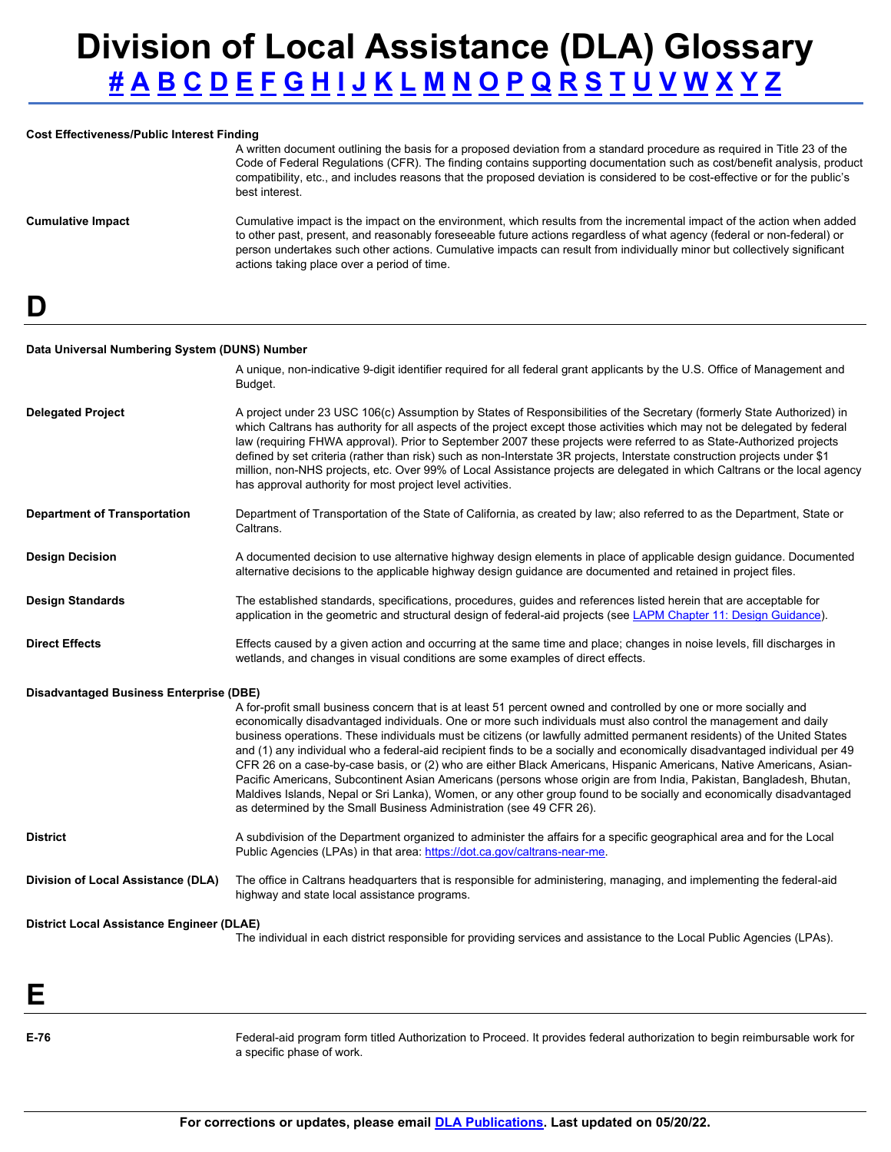#### **Cost Effectiveness/Public Interest Finding**

A written document outlining the basis for a proposed deviation from a standard procedure as required in Title 23 of the Code of Federal Regulations (CFR). The finding contains supporting documentation such as cost/benefit analysis, product compatibility, etc., and includes reasons that the proposed deviation is considered to be cost-effective or for the public's best interest.

**Cumulative Impact** Cumulative impact is the impact on the environment, which results from the incremental impact of the action when added to other past, present, and reasonably foreseeable future actions regardless of what agency (federal or non-federal) or person undertakes such other actions. Cumulative impacts can result from individually minor but collectively significant actions taking place over a period of time.

<span id="page-2-0"></span>**D** 

#### **Data Universal Numbering System (DUNS) Number**

|                                                  | A unique, non-indicative 9-digit identifier required for all federal grant applicants by the U.S. Office of Management and<br>Budget.                                                                                                                                                                                                                                                                                                                                                                                                                                                                                                                                                                                                                                                                                                                                                                                                     |
|--------------------------------------------------|-------------------------------------------------------------------------------------------------------------------------------------------------------------------------------------------------------------------------------------------------------------------------------------------------------------------------------------------------------------------------------------------------------------------------------------------------------------------------------------------------------------------------------------------------------------------------------------------------------------------------------------------------------------------------------------------------------------------------------------------------------------------------------------------------------------------------------------------------------------------------------------------------------------------------------------------|
| <b>Delegated Project</b>                         | A project under 23 USC 106(c) Assumption by States of Responsibilities of the Secretary (formerly State Authorized) in<br>which Caltrans has authority for all aspects of the project except those activities which may not be delegated by federal<br>law (requiring FHWA approval). Prior to September 2007 these projects were referred to as State-Authorized projects<br>defined by set criteria (rather than risk) such as non-Interstate 3R projects, Interstate construction projects under \$1<br>million, non-NHS projects, etc. Over 99% of Local Assistance projects are delegated in which Caltrans or the local agency<br>has approval authority for most project level activities.                                                                                                                                                                                                                                         |
| <b>Department of Transportation</b>              | Department of Transportation of the State of California, as created by law; also referred to as the Department, State or<br>Caltrans.                                                                                                                                                                                                                                                                                                                                                                                                                                                                                                                                                                                                                                                                                                                                                                                                     |
| <b>Design Decision</b>                           | A documented decision to use alternative highway design elements in place of applicable design guidance. Documented<br>alternative decisions to the applicable highway design guidance are documented and retained in project files.                                                                                                                                                                                                                                                                                                                                                                                                                                                                                                                                                                                                                                                                                                      |
| <b>Design Standards</b>                          | The established standards, specifications, procedures, guides and references listed herein that are acceptable for<br>application in the geometric and structural design of federal-aid projects (see LAPM Chapter 11: Design Guidance).                                                                                                                                                                                                                                                                                                                                                                                                                                                                                                                                                                                                                                                                                                  |
| <b>Direct Effects</b>                            | Effects caused by a given action and occurring at the same time and place; changes in noise levels, fill discharges in<br>wetlands, and changes in visual conditions are some examples of direct effects.                                                                                                                                                                                                                                                                                                                                                                                                                                                                                                                                                                                                                                                                                                                                 |
| <b>Disadvantaged Business Enterprise (DBE)</b>   | A for-profit small business concern that is at least 51 percent owned and controlled by one or more socially and<br>economically disadvantaged individuals. One or more such individuals must also control the management and daily<br>business operations. These individuals must be citizens (or lawfully admitted permanent residents) of the United States<br>and (1) any individual who a federal-aid recipient finds to be a socially and economically disadvantaged individual per 49<br>CFR 26 on a case-by-case basis, or (2) who are either Black Americans, Hispanic Americans, Native Americans, Asian-<br>Pacific Americans, Subcontinent Asian Americans (persons whose origin are from India, Pakistan, Bangladesh, Bhutan,<br>Maldives Islands, Nepal or Sri Lanka), Women, or any other group found to be socially and economically disadvantaged<br>as determined by the Small Business Administration (see 49 CFR 26). |
| <b>District</b>                                  | A subdivision of the Department organized to administer the affairs for a specific geographical area and for the Local<br>Public Agencies (LPAs) in that area: https://dot.ca.gov/caltrans-near-me.                                                                                                                                                                                                                                                                                                                                                                                                                                                                                                                                                                                                                                                                                                                                       |
| Division of Local Assistance (DLA)               | The office in Caltrans headquarters that is responsible for administering, managing, and implementing the federal-aid<br>highway and state local assistance programs.                                                                                                                                                                                                                                                                                                                                                                                                                                                                                                                                                                                                                                                                                                                                                                     |
| <b>District Local Assistance Engineer (DLAE)</b> | The individual in each district responsible for providing services and assistance to the Local Public Agencies (LPAs).                                                                                                                                                                                                                                                                                                                                                                                                                                                                                                                                                                                                                                                                                                                                                                                                                    |
|                                                  |                                                                                                                                                                                                                                                                                                                                                                                                                                                                                                                                                                                                                                                                                                                                                                                                                                                                                                                                           |
|                                                  |                                                                                                                                                                                                                                                                                                                                                                                                                                                                                                                                                                                                                                                                                                                                                                                                                                                                                                                                           |

<span id="page-2-2"></span><span id="page-2-1"></span>**E-76** 

Federal-aid program form titled Authorization to Proceed. It provides federal authorization to begin reimbursable work for a specific phase of work.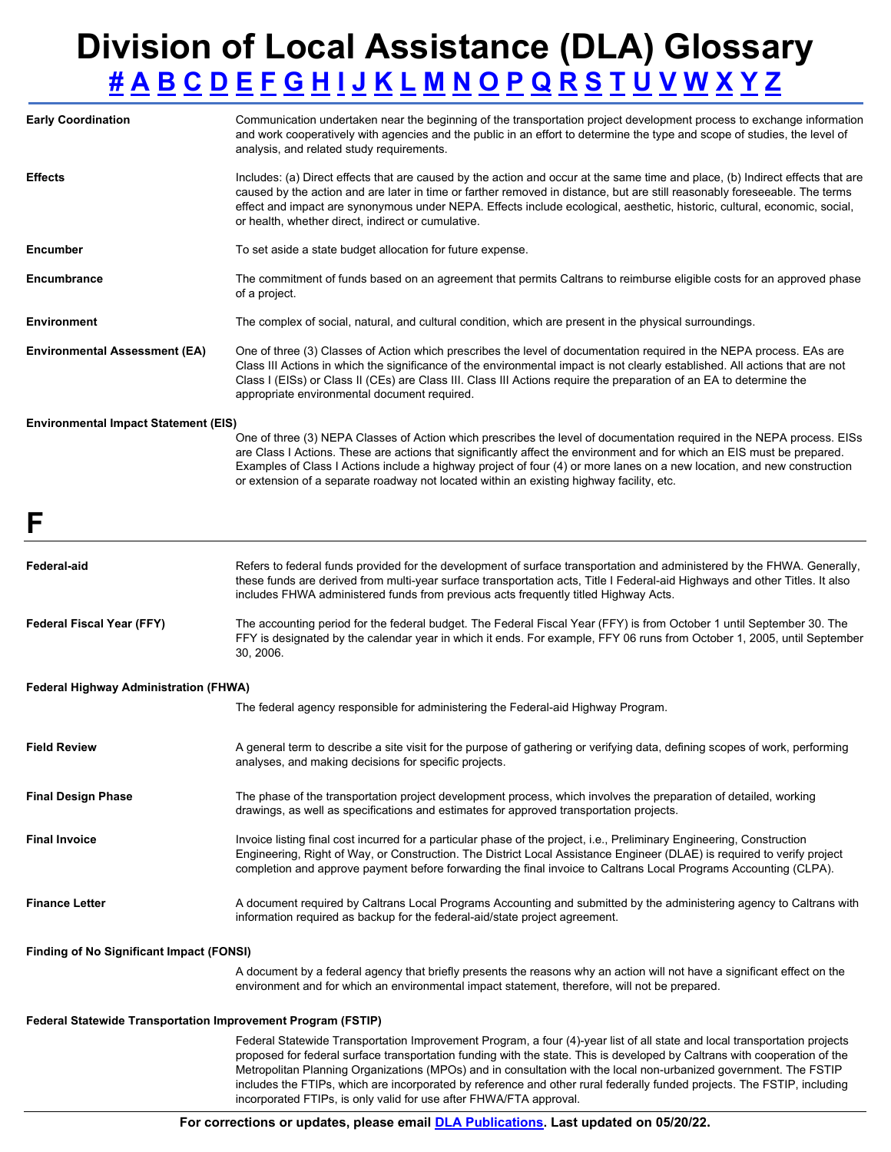| <b>Early Coordination</b>                       | Communication undertaken near the beginning of the transportation project development process to exchange information<br>and work cooperatively with agencies and the public in an effort to determine the type and scope of studies, the level of<br>analysis, and related study requirements.                                                                                                                                                                                                                                                                              |  |
|-------------------------------------------------|------------------------------------------------------------------------------------------------------------------------------------------------------------------------------------------------------------------------------------------------------------------------------------------------------------------------------------------------------------------------------------------------------------------------------------------------------------------------------------------------------------------------------------------------------------------------------|--|
| <b>Effects</b>                                  | Includes: (a) Direct effects that are caused by the action and occur at the same time and place, (b) Indirect effects that are<br>caused by the action and are later in time or farther removed in distance, but are still reasonably foreseeable. The terms<br>effect and impact are synonymous under NEPA. Effects include ecological, aesthetic, historic, cultural, economic, social,<br>or health, whether direct, indirect or cumulative.                                                                                                                              |  |
| <b>Encumber</b>                                 | To set aside a state budget allocation for future expense.                                                                                                                                                                                                                                                                                                                                                                                                                                                                                                                   |  |
| Encumbrance                                     | The commitment of funds based on an agreement that permits Caltrans to reimburse eligible costs for an approved phase<br>of a project.                                                                                                                                                                                                                                                                                                                                                                                                                                       |  |
| <b>Environment</b>                              | The complex of social, natural, and cultural condition, which are present in the physical surroundings.                                                                                                                                                                                                                                                                                                                                                                                                                                                                      |  |
| <b>Environmental Assessment (EA)</b>            | One of three (3) Classes of Action which prescribes the level of documentation required in the NEPA process. EAs are<br>Class III Actions in which the significance of the environmental impact is not clearly established. All actions that are not<br>Class I (EISs) or Class II (CEs) are Class III. Class III Actions require the preparation of an EA to determine the<br>appropriate environmental document required.                                                                                                                                                  |  |
| <b>Environmental Impact Statement (EIS)</b>     |                                                                                                                                                                                                                                                                                                                                                                                                                                                                                                                                                                              |  |
|                                                 | One of three (3) NEPA Classes of Action which prescribes the level of documentation required in the NEPA process. EISs<br>are Class I Actions. These are actions that significantly affect the environment and for which an EIS must be prepared.<br>Examples of Class I Actions include a highway project of four (4) or more lanes on a new location, and new construction<br>or extension of a separate roadway not located within an existing highway facility, etc.                                                                                                     |  |
| F                                               |                                                                                                                                                                                                                                                                                                                                                                                                                                                                                                                                                                              |  |
| Federal-aid                                     | Refers to federal funds provided for the development of surface transportation and administered by the FHWA. Generally,<br>these funds are derived from multi-year surface transportation acts, Title I Federal-aid Highways and other Titles. It also<br>includes FHWA administered funds from previous acts frequently titled Highway Acts.                                                                                                                                                                                                                                |  |
| <b>Federal Fiscal Year (FFY)</b>                | The accounting period for the federal budget. The Federal Fiscal Year (FFY) is from October 1 until September 30. The<br>FFY is designated by the calendar year in which it ends. For example, FFY 06 runs from October 1, 2005, until September<br>30, 2006.                                                                                                                                                                                                                                                                                                                |  |
| Federal Highway Administration (FHWA)           |                                                                                                                                                                                                                                                                                                                                                                                                                                                                                                                                                                              |  |
|                                                 | The federal agency responsible for administering the Federal-aid Highway Program.                                                                                                                                                                                                                                                                                                                                                                                                                                                                                            |  |
| <b>Field Review</b>                             | A general term to describe a site visit for the purpose of gathering or verifying data, defining scopes of work, performing<br>analyses, and making decisions for specific projects.                                                                                                                                                                                                                                                                                                                                                                                         |  |
| <b>Final Design Phase</b>                       | The phase of the transportation project development process, which involves the preparation of detailed, working<br>drawings, as well as specifications and estimates for approved transportation projects.                                                                                                                                                                                                                                                                                                                                                                  |  |
| <b>Final Invoice</b>                            | Invoice listing final cost incurred for a particular phase of the project, i.e., Preliminary Engineering, Construction<br>Engineering, Right of Way, or Construction. The District Local Assistance Engineer (DLAE) is required to verify project<br>completion and approve payment before forwarding the final invoice to Caltrans Local Programs Accounting (CLPA).                                                                                                                                                                                                        |  |
| <b>Finance Letter</b>                           | A document required by Caltrans Local Programs Accounting and submitted by the administering agency to Caltrans with<br>information required as backup for the federal-aid/state project agreement.                                                                                                                                                                                                                                                                                                                                                                          |  |
| <b>Finding of No Significant Impact (FONSI)</b> |                                                                                                                                                                                                                                                                                                                                                                                                                                                                                                                                                                              |  |
|                                                 | A document by a federal agency that briefly presents the reasons why an action will not have a significant effect on the<br>environment and for which an environmental impact statement, therefore, will not be prepared.                                                                                                                                                                                                                                                                                                                                                    |  |
|                                                 | <b>Federal Statewide Transportation Improvement Program (FSTIP)</b>                                                                                                                                                                                                                                                                                                                                                                                                                                                                                                          |  |
|                                                 | Federal Statewide Transportation Improvement Program, a four (4)-year list of all state and local transportation projects<br>proposed for federal surface transportation funding with the state. This is developed by Caltrans with cooperation of the<br>Metropolitan Planning Organizations (MPOs) and in consultation with the local non-urbanized government. The FSTIP<br>includes the FTIPs, which are incorporated by reference and other rural federally funded projects. The FSTIP, including<br>incorporated FTIPs, is only valid for use after FHWA/FTA approval. |  |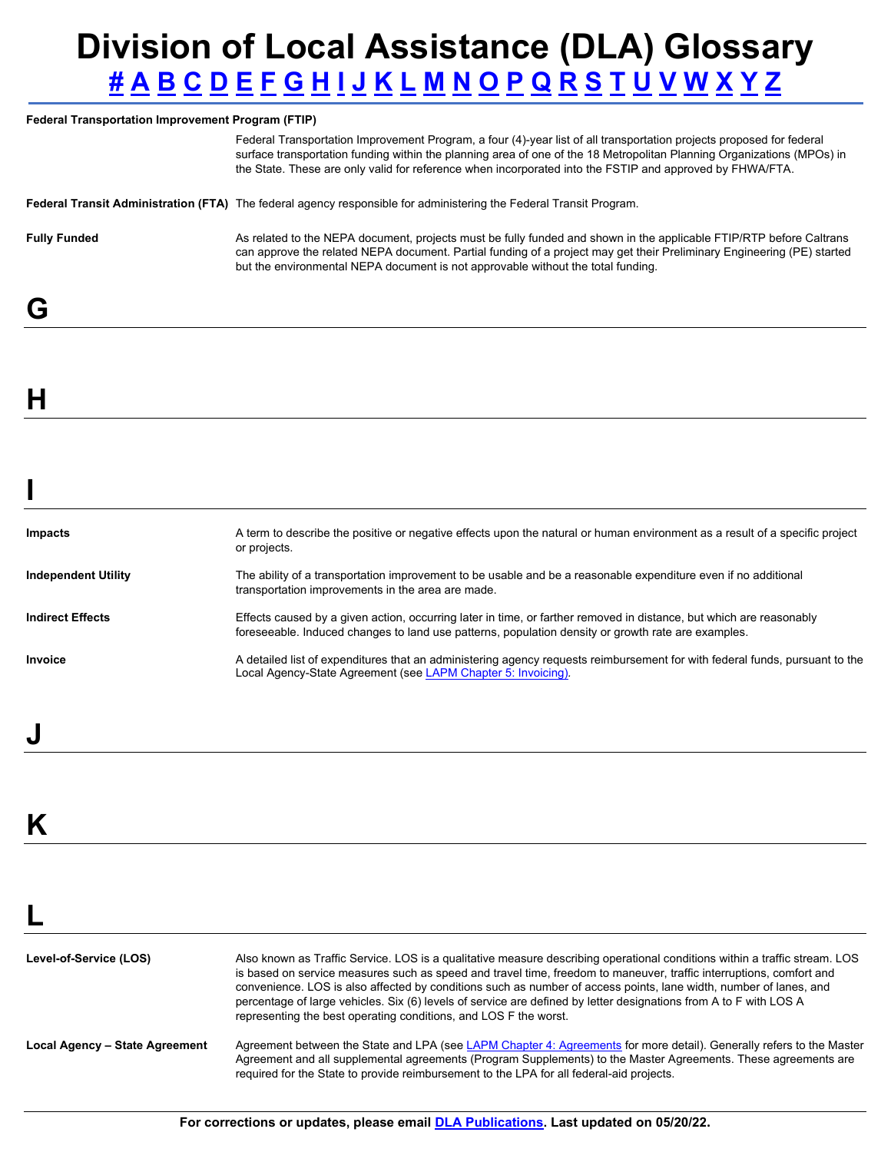#### **Federal Transportation Improvement Program (FTIP)**

Federal Transportation Improvement Program, a four (4)-year list of all transportation projects proposed for federal surface transportation funding within the planning area of one of the 18 Metropolitan Planning Organizations (MPOs) in the State. These are only valid for reference when incorporated into the FSTIP and approved by FHWA/FTA.

```
Federal Transit Administration (FTA) The federal agency responsible for administering the Federal Transit Program.
```
**Fully Funded** As related to the NEPA document, projects must be fully funded and shown in the applicable FTIP/RTP before Caltrans can approve the related NEPA document. Partial funding of a project may get their Preliminary Engineering (PE) started but the environmental NEPA document is not approvable without the total funding.

### <span id="page-4-0"></span>**G**

<span id="page-4-1"></span>**H** 

<span id="page-4-2"></span>**I** 

| <b>Impacts</b>             | A term to describe the positive or negative effects upon the natural or human environment as a result of a specific project<br>or projects.                                                                               |
|----------------------------|---------------------------------------------------------------------------------------------------------------------------------------------------------------------------------------------------------------------------|
| <b>Independent Utility</b> | The ability of a transportation improvement to be usable and be a reasonable expenditure even if no additional<br>transportation improvements in the area are made.                                                       |
| <b>Indirect Effects</b>    | Effects caused by a given action, occurring later in time, or farther removed in distance, but which are reasonably<br>foreseeable. Induced changes to land use patterns, population density or growth rate are examples. |
| Invoice                    | A detailed list of expenditures that an administering agency requests reimbursement for with federal funds, pursuant to the<br>Local Agency-State Agreement (see LAPM Chapter 5: Invoicing).                              |

### <span id="page-4-4"></span>**K**

<span id="page-4-3"></span>**J** 

<span id="page-4-5"></span>

| Level-of-Service (LOS)         | Also known as Traffic Service. LOS is a qualitative measure describing operational conditions within a traffic stream. LOS<br>is based on service measures such as speed and travel time, freedom to maneuver, traffic interruptions, comfort and<br>convenience. LOS is also affected by conditions such as number of access points, lane width, number of lanes, and<br>percentage of large vehicles. Six (6) levels of service are defined by letter designations from A to F with LOS A<br>representing the best operating conditions, and LOS F the worst. |
|--------------------------------|-----------------------------------------------------------------------------------------------------------------------------------------------------------------------------------------------------------------------------------------------------------------------------------------------------------------------------------------------------------------------------------------------------------------------------------------------------------------------------------------------------------------------------------------------------------------|
| Local Agency - State Agreement | Agreement between the State and LPA (see LAPM Chapter 4: Agreements for more detail). Generally refers to the Master<br>Agreement and all supplemental agreements (Program Supplements) to the Master Agreements. These agreements are<br>required for the State to provide reimbursement to the LPA for all federal-aid projects.                                                                                                                                                                                                                              |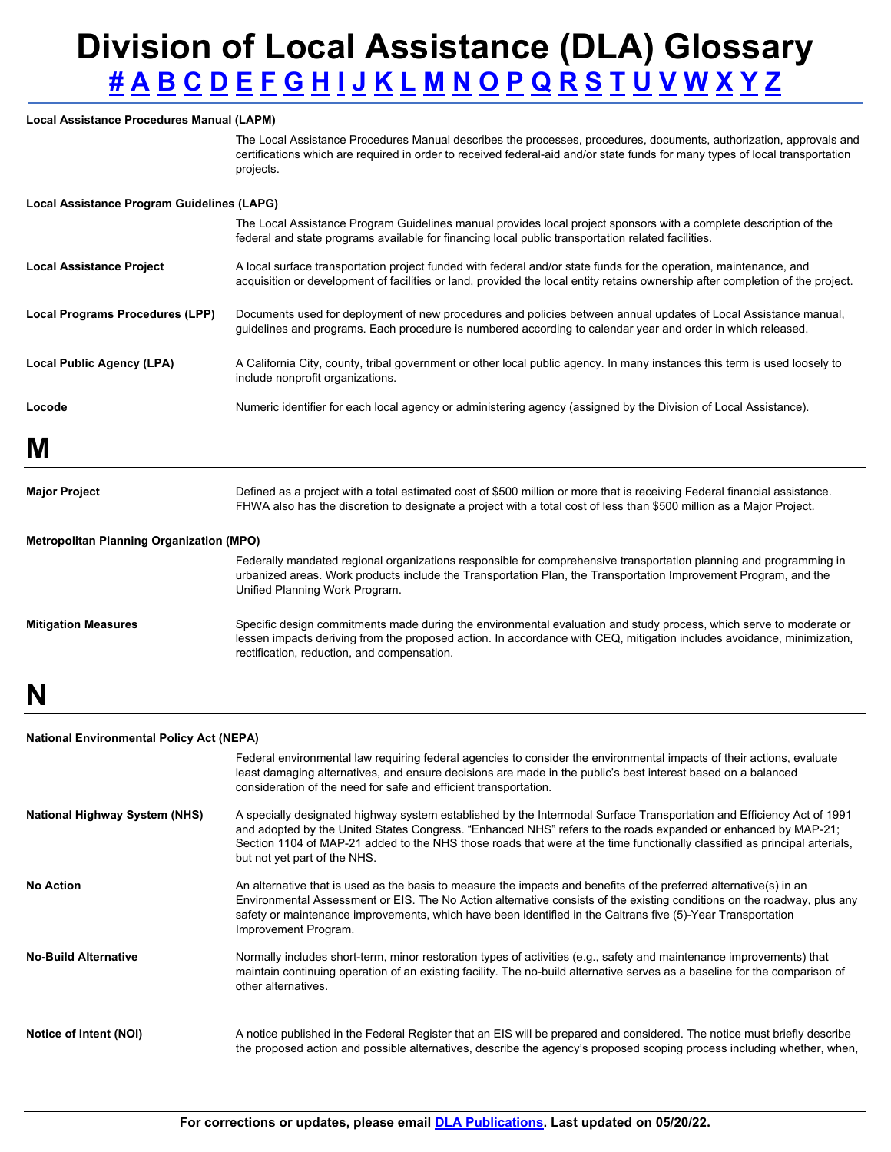### **Local Assistance Procedures Manual (LAPM)**

The Local Assistance Procedures Manual describes the processes, procedures, documents, authorization, approvals and certifications which are required in order to received federal-aid and/or state funds for many types of local transportation projects.

#### **Local Assistance Program Guidelines (LAPG)**

| Locode                          | Numeric identifier for each local agency or administering agency (assigned by the Division of Local Assistance).                                                                                                                                    |
|---------------------------------|-----------------------------------------------------------------------------------------------------------------------------------------------------------------------------------------------------------------------------------------------------|
| Local Public Agency (LPA)       | A California City, county, tribal government or other local public agency. In many instances this term is used loosely to<br>include nonprofit organizations.                                                                                       |
| Local Programs Procedures (LPP) | Documents used for deployment of new procedures and policies between annual updates of Local Assistance manual,<br>quidelines and programs. Each procedure is numbered according to calendar year and order in which released.                      |
| <b>Local Assistance Project</b> | A local surface transportation project funded with federal and/or state funds for the operation, maintenance, and<br>acquisition or development of facilities or land, provided the local entity retains ownership after completion of the project. |
|                                 | The Local Assistance Program Guidelines manual provides local project sponsors with a complete description of the<br>federal and state programs available for financing local public transportation related facilities.                             |

<span id="page-5-0"></span>**M** 

| <b>Major Project</b>       | Defined as a project with a total estimated cost of \$500 million or more that is receiving Federal financial assistance.<br>FHWA also has the discretion to designate a project with a total cost of less than \$500 million as a Major Project.                                           |  |  |
|----------------------------|---------------------------------------------------------------------------------------------------------------------------------------------------------------------------------------------------------------------------------------------------------------------------------------------|--|--|
|                            | <b>Metropolitan Planning Organization (MPO)</b>                                                                                                                                                                                                                                             |  |  |
|                            | Federally mandated regional organizations responsible for comprehensive transportation planning and programming in<br>urbanized areas. Work products include the Transportation Plan, the Transportation Improvement Program, and the<br>Unified Planning Work Program.                     |  |  |
| <b>Mitigation Measures</b> | Specific design commitments made during the environmental evaluation and study process, which serve to moderate or<br>lessen impacts deriving from the proposed action. In accordance with CEQ, mitigation includes avoidance, minimization,<br>rectification, reduction, and compensation. |  |  |

### <span id="page-5-1"></span>**N**

#### **National Environmental Policy Act (NEPA)**

|                                      | Federal environmental law requiring federal agencies to consider the environmental impacts of their actions, evaluate<br>least damaging alternatives, and ensure decisions are made in the public's best interest based on a balanced<br>consideration of the need for safe and efficient transportation.                                                                                           |
|--------------------------------------|-----------------------------------------------------------------------------------------------------------------------------------------------------------------------------------------------------------------------------------------------------------------------------------------------------------------------------------------------------------------------------------------------------|
| <b>National Highway System (NHS)</b> | A specially designated highway system established by the Intermodal Surface Transportation and Efficiency Act of 1991<br>and adopted by the United States Congress. "Enhanced NHS" refers to the roads expanded or enhanced by MAP-21;<br>Section 1104 of MAP-21 added to the NHS those roads that were at the time functionally classified as principal arterials,<br>but not yet part of the NHS. |
| <b>No Action</b>                     | An alternative that is used as the basis to measure the impacts and benefits of the preferred alternative(s) in an<br>Environmental Assessment or EIS. The No Action alternative consists of the existing conditions on the roadway, plus any<br>safety or maintenance improvements, which have been identified in the Caltrans five (5)-Year Transportation<br>Improvement Program.                |
| <b>No-Build Alternative</b>          | Normally includes short-term, minor restoration types of activities (e.g., safety and maintenance improvements) that<br>maintain continuing operation of an existing facility. The no-build alternative serves as a baseline for the comparison of<br>other alternatives.                                                                                                                           |
| Notice of Intent (NOI)               | A notice published in the Federal Register that an EIS will be prepared and considered. The notice must briefly describe<br>the proposed action and possible alternatives, describe the agency's proposed scoping process including whether, when,                                                                                                                                                  |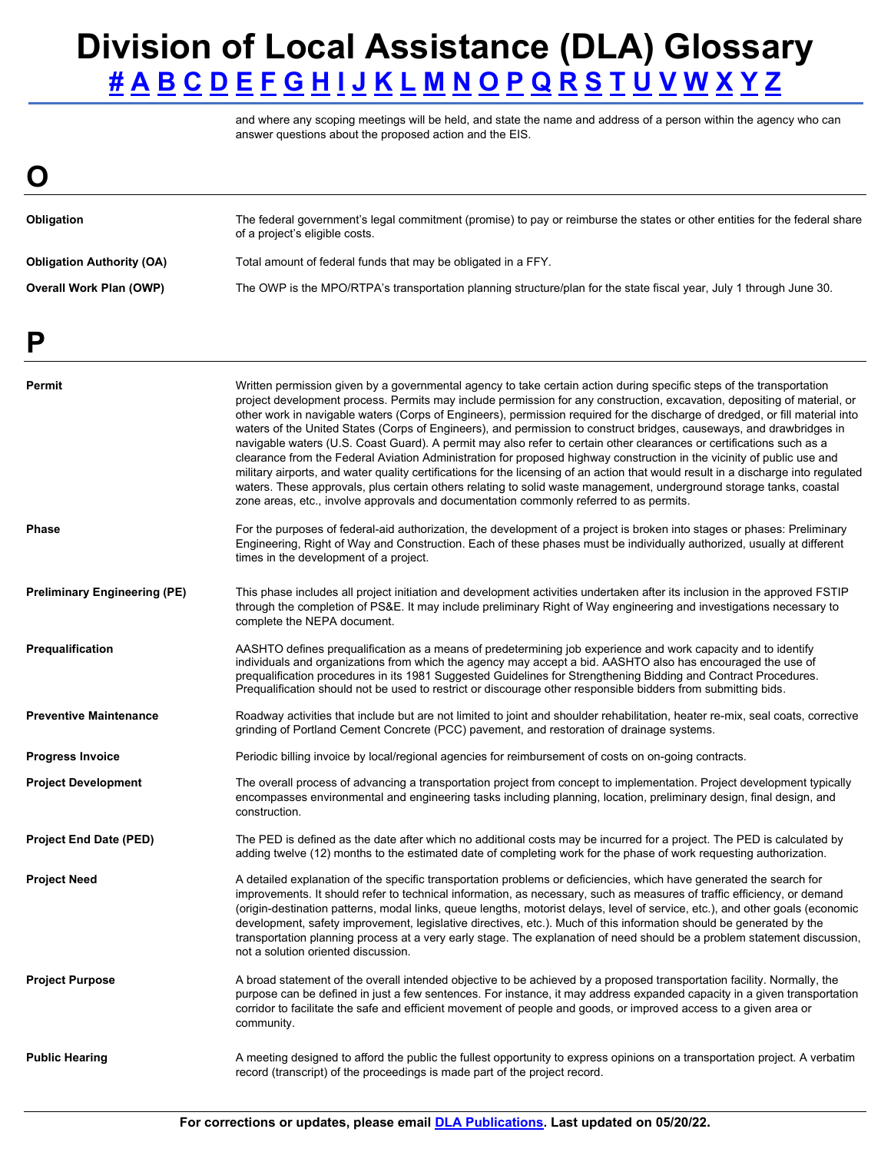answer questions about the proposed action and the EIS. and where any scoping meetings will be held, and state the name and address of a person within the agency who can

<span id="page-6-1"></span><span id="page-6-0"></span>

| O                                |                                                                                                                                                              |
|----------------------------------|--------------------------------------------------------------------------------------------------------------------------------------------------------------|
| Obligation                       | The federal government's legal commitment (promise) to pay or reimburse the states or other entities for the federal share<br>of a project's eligible costs. |
| <b>Obligation Authority (OA)</b> | Total amount of federal funds that may be obligated in a FFY.                                                                                                |
| <b>Overall Work Plan (OWP)</b>   | The OWP is the MPO/RTPA's transportation planning structure/plan for the state fiscal year, July 1 through June 30.                                          |

| Ρ                                   |                                                                                                                                                                                                                                                                                                                                                                                                                                                                                                                                                                                                                                                                                                                                                                                                                                                                                                                                                                                                                                                                                                                   |
|-------------------------------------|-------------------------------------------------------------------------------------------------------------------------------------------------------------------------------------------------------------------------------------------------------------------------------------------------------------------------------------------------------------------------------------------------------------------------------------------------------------------------------------------------------------------------------------------------------------------------------------------------------------------------------------------------------------------------------------------------------------------------------------------------------------------------------------------------------------------------------------------------------------------------------------------------------------------------------------------------------------------------------------------------------------------------------------------------------------------------------------------------------------------|
| Permit                              | Written permission given by a governmental agency to take certain action during specific steps of the transportation<br>project development process. Permits may include permission for any construction, excavation, depositing of material, or<br>other work in navigable waters (Corps of Engineers), permission required for the discharge of dredged, or fill material into<br>waters of the United States (Corps of Engineers), and permission to construct bridges, causeways, and drawbridges in<br>navigable waters (U.S. Coast Guard). A permit may also refer to certain other clearances or certifications such as a<br>clearance from the Federal Aviation Administration for proposed highway construction in the vicinity of public use and<br>military airports, and water quality certifications for the licensing of an action that would result in a discharge into regulated<br>waters. These approvals, plus certain others relating to solid waste management, underground storage tanks, coastal<br>zone areas, etc., involve approvals and documentation commonly referred to as permits. |
| <b>Phase</b>                        | For the purposes of federal-aid authorization, the development of a project is broken into stages or phases: Preliminary<br>Engineering, Right of Way and Construction. Each of these phases must be individually authorized, usually at different<br>times in the development of a project.                                                                                                                                                                                                                                                                                                                                                                                                                                                                                                                                                                                                                                                                                                                                                                                                                      |
| <b>Preliminary Engineering (PE)</b> | This phase includes all project initiation and development activities undertaken after its inclusion in the approved FSTIP<br>through the completion of PS&E. It may include preliminary Right of Way engineering and investigations necessary to<br>complete the NEPA document.                                                                                                                                                                                                                                                                                                                                                                                                                                                                                                                                                                                                                                                                                                                                                                                                                                  |
| Prequalification                    | AASHTO defines prequalification as a means of predetermining job experience and work capacity and to identify<br>individuals and organizations from which the agency may accept a bid. AASHTO also has encouraged the use of<br>prequalification procedures in its 1981 Suggested Guidelines for Strengthening Bidding and Contract Procedures.<br>Prequalification should not be used to restrict or discourage other responsible bidders from submitting bids.                                                                                                                                                                                                                                                                                                                                                                                                                                                                                                                                                                                                                                                  |
| <b>Preventive Maintenance</b>       | Roadway activities that include but are not limited to joint and shoulder rehabilitation, heater re-mix, seal coats, corrective<br>grinding of Portland Cement Concrete (PCC) pavement, and restoration of drainage systems.                                                                                                                                                                                                                                                                                                                                                                                                                                                                                                                                                                                                                                                                                                                                                                                                                                                                                      |
| <b>Progress Invoice</b>             | Periodic billing invoice by local/regional agencies for reimbursement of costs on on-going contracts.                                                                                                                                                                                                                                                                                                                                                                                                                                                                                                                                                                                                                                                                                                                                                                                                                                                                                                                                                                                                             |
| <b>Project Development</b>          | The overall process of advancing a transportation project from concept to implementation. Project development typically<br>encompasses environmental and engineering tasks including planning, location, preliminary design, final design, and<br>construction.                                                                                                                                                                                                                                                                                                                                                                                                                                                                                                                                                                                                                                                                                                                                                                                                                                                   |
| <b>Project End Date (PED)</b>       | The PED is defined as the date after which no additional costs may be incurred for a project. The PED is calculated by<br>adding twelve (12) months to the estimated date of completing work for the phase of work requesting authorization.                                                                                                                                                                                                                                                                                                                                                                                                                                                                                                                                                                                                                                                                                                                                                                                                                                                                      |
| <b>Project Need</b>                 | A detailed explanation of the specific transportation problems or deficiencies, which have generated the search for<br>improvements. It should refer to technical information, as necessary, such as measures of traffic efficiency, or demand<br>(origin-destination patterns, modal links, queue lengths, motorist delays, level of service, etc.), and other goals (economic<br>development, safety improvement, legislative directives, etc.). Much of this information should be generated by the<br>transportation planning process at a very early stage. The explanation of need should be a problem statement discussion,<br>not a solution oriented discussion.                                                                                                                                                                                                                                                                                                                                                                                                                                         |
| <b>Project Purpose</b>              | A broad statement of the overall intended objective to be achieved by a proposed transportation facility. Normally, the<br>purpose can be defined in just a few sentences. For instance, it may address expanded capacity in a given transportation<br>corridor to facilitate the safe and efficient movement of people and goods, or improved access to a given area or<br>community.                                                                                                                                                                                                                                                                                                                                                                                                                                                                                                                                                                                                                                                                                                                            |
| <b>Public Hearing</b>               | A meeting designed to afford the public the fullest opportunity to express opinions on a transportation project. A verbatim<br>record (transcript) of the proceedings is made part of the project record.                                                                                                                                                                                                                                                                                                                                                                                                                                                                                                                                                                                                                                                                                                                                                                                                                                                                                                         |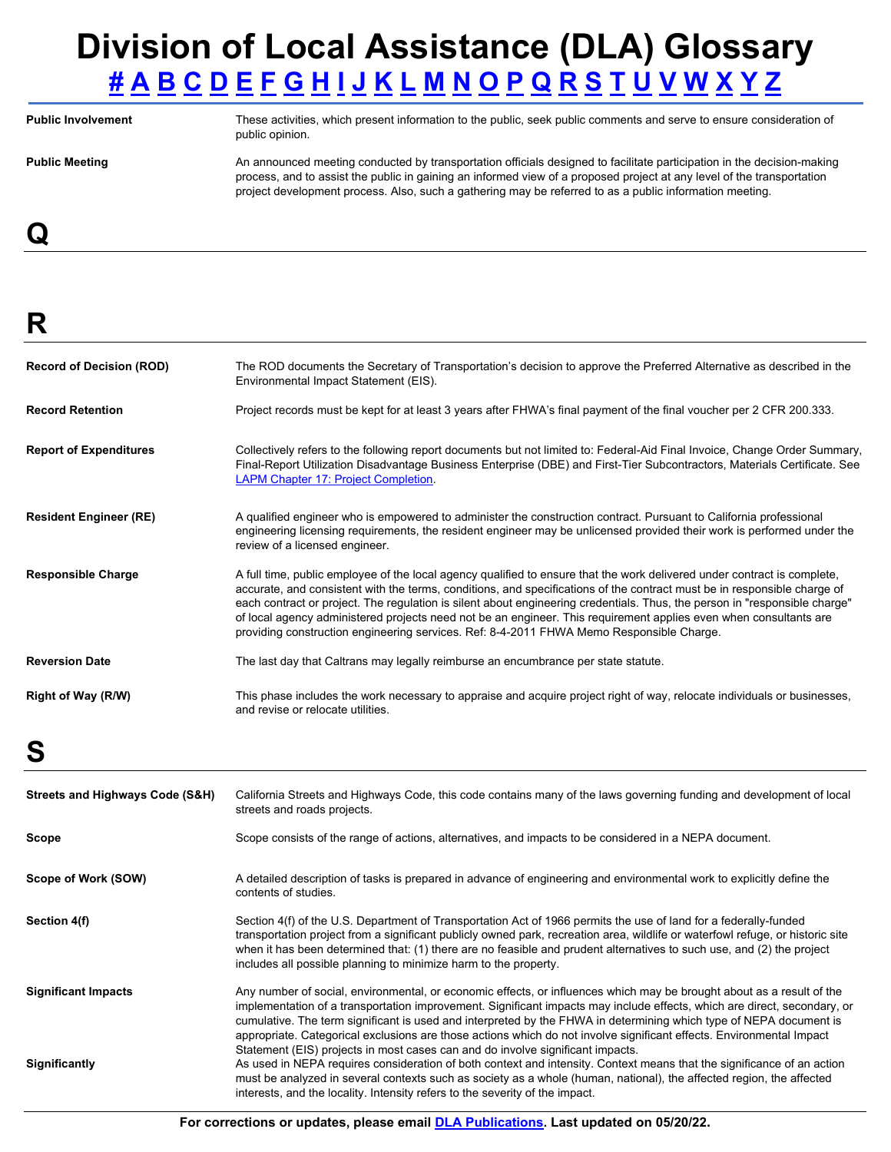### **Division of Local Assistance (DLA) Glossary [#](#page-0-0) [A](#page-0-1) [B](#page-0-2) [C](#page-1-0) [D](#page-2-0) [E](#page-2-1) [F](#page-2-2) [G](#page-4-0) [H](#page-4-1) [I](#page-4-2) [J](#page-4-3) [K](#page-4-4) [L](#page-4-5) [M](#page-5-0) [N](#page-5-1) [O](#page-6-0) [P](#page-6-1) [Q](#page-7-0) [R](#page-7-1) [S](#page-7-2) [T](#page-8-0) [U](#page-8-1) [V](#page-9-0) [W](#page-9-1) [X](#page-9-2) [Y](#page-9-3) [Z](#page-9-4)**

Public Involvement **These activities, which present information** to the public, seek public comments and serve to ensure consideration of public opinion. Public Meeting **An announced meeting conducted by transportation officials designed to facilitate participation in the decision-making** process, and to assist the public in gaining an informed view of a proposed project at any level of the transportation project development process. Also, such a gathering may be referred to as a public information meeting.

<span id="page-7-0"></span>**Q** 

<span id="page-7-1"></span>**R** 

| <b>Record of Decision (ROD)</b>            | The ROD documents the Secretary of Transportation's decision to approve the Preferred Alternative as described in the<br>Environmental Impact Statement (EIS).                                                                                                                                                                                                                                                                                                                                                                                                                                      |
|--------------------------------------------|-----------------------------------------------------------------------------------------------------------------------------------------------------------------------------------------------------------------------------------------------------------------------------------------------------------------------------------------------------------------------------------------------------------------------------------------------------------------------------------------------------------------------------------------------------------------------------------------------------|
| <b>Record Retention</b>                    | Project records must be kept for at least 3 years after FHWA's final payment of the final voucher per 2 CFR 200.333.                                                                                                                                                                                                                                                                                                                                                                                                                                                                                |
| <b>Report of Expenditures</b>              | Collectively refers to the following report documents but not limited to: Federal-Aid Final Invoice, Change Order Summary,<br>Final-Report Utilization Disadvantage Business Enterprise (DBE) and First-Tier Subcontractors, Materials Certificate. See<br><b>LAPM Chapter 17: Project Completion.</b>                                                                                                                                                                                                                                                                                              |
| <b>Resident Engineer (RE)</b>              | A qualified engineer who is empowered to administer the construction contract. Pursuant to California professional<br>engineering licensing requirements, the resident engineer may be unlicensed provided their work is performed under the<br>review of a licensed engineer.                                                                                                                                                                                                                                                                                                                      |
| <b>Responsible Charge</b>                  | A full time, public employee of the local agency qualified to ensure that the work delivered under contract is complete,<br>accurate, and consistent with the terms, conditions, and specifications of the contract must be in responsible charge of<br>each contract or project. The regulation is silent about engineering credentials. Thus, the person in "responsible charge"<br>of local agency administered projects need not be an engineer. This requirement applies even when consultants are<br>providing construction engineering services. Ref: 8-4-2011 FHWA Memo Responsible Charge. |
| <b>Reversion Date</b>                      | The last day that Caltrans may legally reimburse an encumbrance per state statute.                                                                                                                                                                                                                                                                                                                                                                                                                                                                                                                  |
| Right of Way (R/W)                         | This phase includes the work necessary to appraise and acquire project right of way, relocate individuals or businesses,<br>and revise or relocate utilities.                                                                                                                                                                                                                                                                                                                                                                                                                                       |
| S                                          |                                                                                                                                                                                                                                                                                                                                                                                                                                                                                                                                                                                                     |
| <b>Streets and Highways Code (S&amp;H)</b> | California Streets and Highways Code, this code contains many of the laws governing funding and development of local<br>streets and roads projects.                                                                                                                                                                                                                                                                                                                                                                                                                                                 |
| Scope                                      | Scope consists of the range of actions, alternatives, and impacts to be considered in a NEPA document.                                                                                                                                                                                                                                                                                                                                                                                                                                                                                              |
| Scope of Work (SOW)                        | A detailed description of tasks is prepared in advance of engineering and environmental work to explicitly define the<br>contents of studies.                                                                                                                                                                                                                                                                                                                                                                                                                                                       |
| Section 4(f)                               | Section 4(f) of the U.S. Department of Transportation Act of 1966 permits the use of land for a federally-funded<br>transportation project from a significant publicly owned park, recreation area, wildlife or waterfowl refuge, or historic site<br>when it has been determined that: (1) there are no feasible and prudent alternatives to such use, and (2) the project<br>includes all possible planning to minimize harm to the property                                                                                                                                                      |

<span id="page-7-2"></span>**Significant Impacts Significantly**  Any number of social, environmental, or economic effects, or influences which may be brought about as a result of the implementation of a transportation improvement. Significant impacts may include effects, which are direct, secondary, or cumulative. The term significant is used and interpreted by the FHWA in determining which type of NEPA document is appropriate. Categorical exclusions are those actions which do not involve significant effects. Environmental Impact Statement (EIS) projects in most cases can and do involve significant impacts. As used in NEPA requires consideration of both context and intensity. Context means that the significance of an action must be analyzed in several contexts such as society as a whole (human, national), the affected region, the affected interests, and the locality. Intensity refers to the severity of the impact.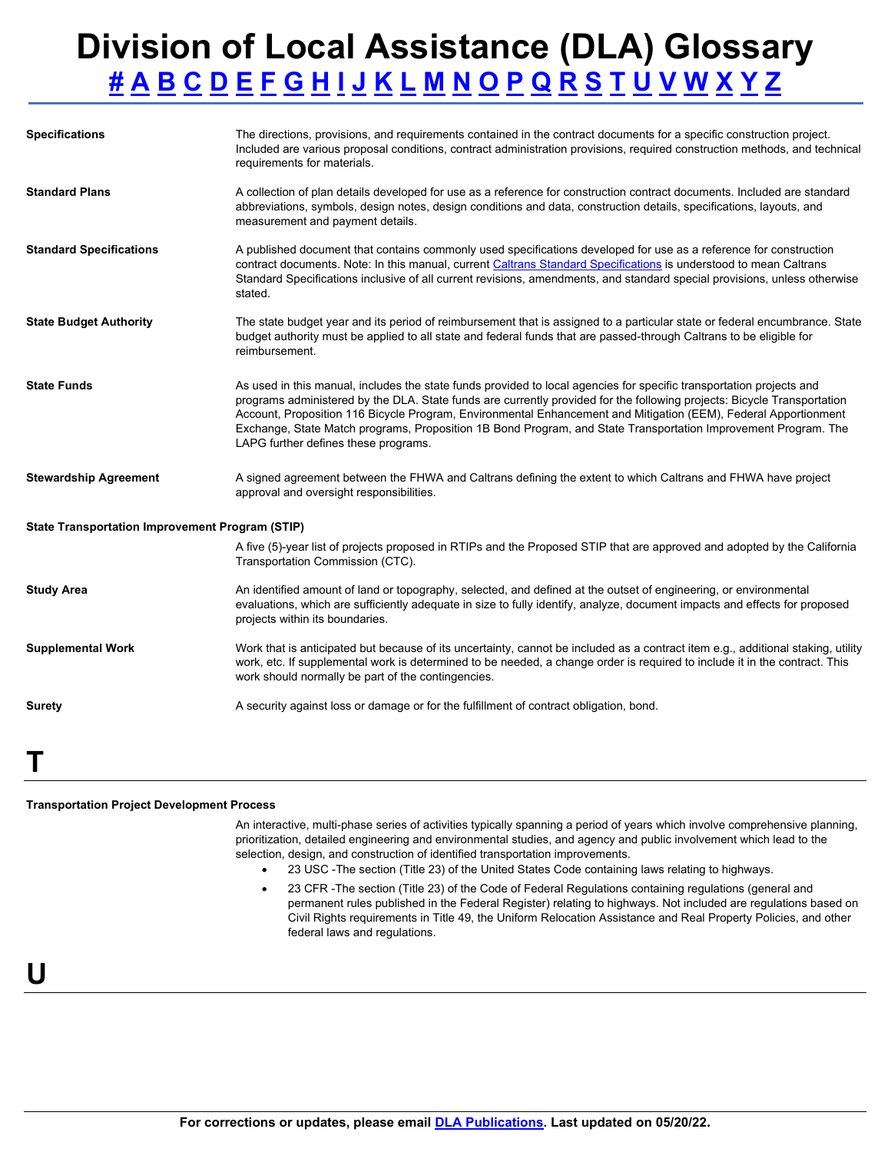| <b>Specifications</b>                           | The directions, provisions, and requirements contained in the contract documents for a specific construction project.<br>Included are various proposal conditions, contract administration provisions, required construction methods, and technical<br>requirements for materials.                                                                                                                                                                                                                                           |  |  |  |  |  |
|-------------------------------------------------|------------------------------------------------------------------------------------------------------------------------------------------------------------------------------------------------------------------------------------------------------------------------------------------------------------------------------------------------------------------------------------------------------------------------------------------------------------------------------------------------------------------------------|--|--|--|--|--|
| <b>Standard Plans</b>                           | A collection of plan details developed for use as a reference for construction contract documents. Included are standard<br>abbreviations, symbols, design notes, design conditions and data, construction details, specifications, layouts, and<br>measurement and payment details.                                                                                                                                                                                                                                         |  |  |  |  |  |
| <b>Standard Specifications</b>                  | A published document that contains commonly used specifications developed for use as a reference for construction<br>contract documents. Note: In this manual, current Caltrans Standard Specifications is understood to mean Caltrans<br>Standard Specifications inclusive of all current revisions, amendments, and standard special provisions, unless otherwise<br>stated.                                                                                                                                               |  |  |  |  |  |
| <b>State Budget Authority</b>                   | The state budget year and its period of reimbursement that is assigned to a particular state or federal encumbrance. State<br>budget authority must be applied to all state and federal funds that are passed-through Caltrans to be eligible for<br>reimbursement.                                                                                                                                                                                                                                                          |  |  |  |  |  |
| <b>State Funds</b>                              | As used in this manual, includes the state funds provided to local agencies for specific transportation projects and<br>programs administered by the DLA. State funds are currently provided for the following projects: Bicycle Transportation<br>Account, Proposition 116 Bicycle Program, Environmental Enhancement and Mitigation (EEM), Federal Apportionment<br>Exchange, State Match programs, Proposition 1B Bond Program, and State Transportation Improvement Program. The<br>LAPG further defines these programs. |  |  |  |  |  |
| <b>Stewardship Agreement</b>                    | A signed agreement between the FHWA and Caltrans defining the extent to which Caltrans and FHWA have project<br>approval and oversight responsibilities.                                                                                                                                                                                                                                                                                                                                                                     |  |  |  |  |  |
| State Transportation Improvement Program (STIP) |                                                                                                                                                                                                                                                                                                                                                                                                                                                                                                                              |  |  |  |  |  |
|                                                 | A five (5)-year list of projects proposed in RTIPs and the Proposed STIP that are approved and adopted by the California<br>Transportation Commission (CTC).                                                                                                                                                                                                                                                                                                                                                                 |  |  |  |  |  |
| <b>Study Area</b>                               | An identified amount of land or topography, selected, and defined at the outset of engineering, or environmental<br>evaluations, which are sufficiently adequate in size to fully identify, analyze, document impacts and effects for proposed<br>projects within its boundaries.                                                                                                                                                                                                                                            |  |  |  |  |  |
| <b>Supplemental Work</b>                        | Work that is anticipated but because of its uncertainty, cannot be included as a contract item e.g., additional staking, utility<br>work, etc. If supplemental work is determined to be needed, a change order is required to include it in the contract. This<br>work should normally be part of the contingencies.                                                                                                                                                                                                         |  |  |  |  |  |
| <b>Surety</b>                                   | A security against loss or damage or for the fulfillment of contract obligation, bond.                                                                                                                                                                                                                                                                                                                                                                                                                                       |  |  |  |  |  |
|                                                 |                                                                                                                                                                                                                                                                                                                                                                                                                                                                                                                              |  |  |  |  |  |

#### <span id="page-8-0"></span>**Transportation Project Development Process**

An interactive, multi-phase series of activities typically spanning a period of years which involve comprehensive planning, prioritization, detailed engineering and environmental studies, and agency and public involvement which lead to the selection, design, and construction of identified transportation improvements.

- 23 USC -The section (Title 23) of the United States Code containing laws relating to highways.
- 23 CFR -The section (Title 23) of the Code of Federal Regulations containing regulations (general and permanent rules published in the Federal Register) relating to highways. Not included are regulations based on Civil Rights requirements in Title 49, the Uniform Relocation Assistance and Real Property Policies, and other federal laws and regulations.

### <span id="page-8-1"></span>**U**